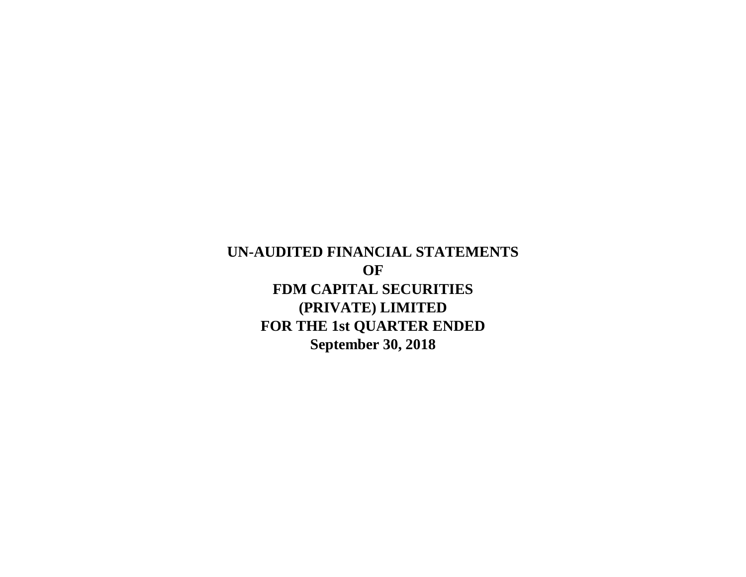**September 30, 2018 UN-AUDITED FINANCIAL STATEMENTS OF FDM CAPITAL SECURITIES (PRIVATE) LIMITED FOR THE 1st QUARTER ENDED**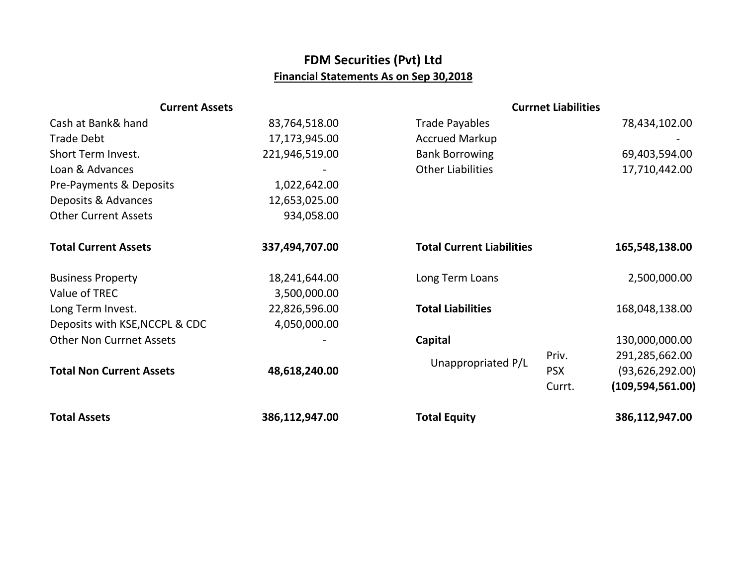## **FDM Securities (Pvt) Ltd Financial Statements As on Sep 30,2018**

| <b>Current Assets</b>           |                | <b>Currnet Liabilities</b>       |            |                    |
|---------------------------------|----------------|----------------------------------|------------|--------------------|
| Cash at Bank& hand              | 83,764,518.00  | <b>Trade Payables</b>            |            | 78,434,102.00      |
| <b>Trade Debt</b>               | 17,173,945.00  | <b>Accrued Markup</b>            |            |                    |
| Short Term Invest.              | 221,946,519.00 | <b>Bank Borrowing</b>            |            | 69,403,594.00      |
| Loan & Advances                 |                | <b>Other Liabilities</b>         |            | 17,710,442.00      |
| Pre-Payments & Deposits         | 1,022,642.00   |                                  |            |                    |
| Deposits & Advances             | 12,653,025.00  |                                  |            |                    |
| <b>Other Current Assets</b>     | 934,058.00     |                                  |            |                    |
| <b>Total Current Assets</b>     | 337,494,707.00 | <b>Total Current Liabilities</b> |            | 165,548,138.00     |
| <b>Business Property</b>        | 18,241,644.00  | Long Term Loans                  |            | 2,500,000.00       |
| Value of TREC                   | 3,500,000.00   |                                  |            |                    |
| Long Term Invest.               | 22,826,596.00  | <b>Total Liabilities</b>         |            | 168,048,138.00     |
| Deposits with KSE, NCCPL & CDC  | 4,050,000.00   |                                  |            |                    |
| <b>Other Non Currnet Assets</b> |                | Capital                          |            | 130,000,000.00     |
| <b>Total Non Current Assets</b> | 48,618,240.00  | Unappropriated P/L               | Priv.      | 291,285,662.00     |
|                                 |                |                                  | <b>PSX</b> | (93, 626, 292.00)  |
|                                 |                |                                  | Currt.     | (109, 594, 561.00) |
| <b>Total Assets</b>             | 386,112,947.00 | <b>Total Equity</b>              |            | 386,112,947.00     |